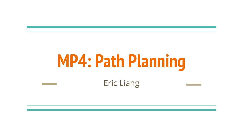# **MP4: Path Planning**

Eric Liang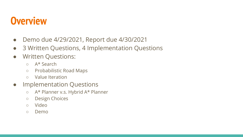# **Overview**

- Demo due 4/29/2021, Report due 4/30/2021
- 3 Written Questions, 4 Implementation Questions
- Written Questions:
	- A\* Search
	- Probabilistic Road Maps
	- Value Iteration
- Implementation Questions
	- A\* Planner v.s. Hybrid A\* Planner
	- Design Choices
	- Video
	- Demo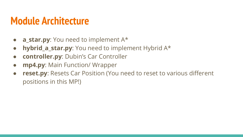## **Module Architecture**

- **a\_star.py**: You need to implement A\*
- **hybrid\_a\_star.py**: You need to implement Hybrid A\*
- **controller.py**: Dubin's Car Controller
- **mp4.py**: Main Function/ Wrapper
- **reset.py:** Resets Car Position (You need to reset to various different positions in this MP!)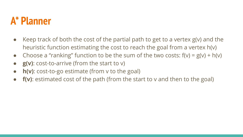## **A\* Planner**

- Keep track of both the cost of the partial path to get to a vertex  $g(v)$  and the heuristic function estimating the cost to reach the goal from a vertex h(v)
- Choose a "ranking" function to be the sum of the two costs:  $f(v) = g(v) + h(v)$
- **g(v)**: cost-to-arrive (from the start to v)
- **h(v)**: cost-to-go estimate (from v to the goal)
- **f(v)**: estimated cost of the path (from the start to v and then to the goal)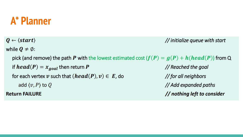## **A\* Planner**

 $Q \leftarrow \langle start \rangle$ // initialize queue with start while  $\boldsymbol{Q} \neq \emptyset$ : pick (and remove) the path P with the lowest estimated cost  $(f(P) = g(P) + h(head(P))$  from Q if  $head(P) = x_{goal}$  then return P // Reached the goal for each vertex v such that  $(head(P), v) \in E$ , do // for all neighbors add  $\langle v, P \rangle$  to Q // Add expanded paths **Return FAILURE** // nothing left to consider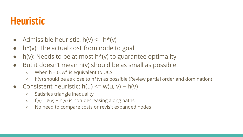# **Heuristic**

- Admissible heuristic:  $h(v) \leq h^*(v)$
- $\bullet$  h<sup>\*</sup>(v): The actual cost from node to goal
- $\bullet$  h(v): Needs to be at most h\*(v) to guarantee optimality
- But it doesn't mean h(v) should be as small as possible!
	- $\circ$  When h = 0, A\* is equivalent to UCS
	- $\circ$  h(v) should be as close to h\*(v) as possible (Review partial order and domination)
- Consistent heuristic:  $h(u) \leq w(u, v) + h(v)$ 
	- Satisfies triangle inequality
	- $\circ$  f(v) = g(v) + h(v) is non-decreasing along paths
	- No need to compare costs or revisit expanded nodes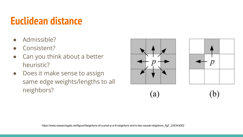# **Euclidean distance**

- Admissible?
- Consistent?
- Can you think about a better heuristic?
- Does it make sense to assign same edge weights/lengths to all neighbors?





 $(b)$  $(a)$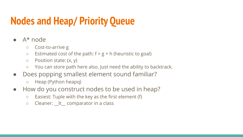# **Nodes and Heap/ Priority Queue**

- $A^*$  node
	- Cost-to-arrive g
	- $\circ$  Estimated cost of the path:  $f = g + h$  (heuristic to goal)
	- $\circ$  Position state:  $(x, y)$
	- You can store path here also. Just need the ability to backtrack.
- Does popping smallest element sound familiar?
	- Heap (Python heapq)
- How do you construct nodes to be used in heap?
	- Easiest: Tuple with the key as the first element (f)
	- $\circ$  Cleaner:  $\bot$  comparator in a class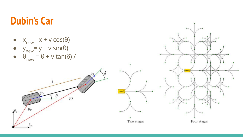## **Dubin's Car**

- $x_{new} = x + v \cos(\theta)$ <br>•  $y_{new} = y + v \sin(\theta)$
- 
- $\theta_{\text{new}} = \theta + v \tan(\delta) / l$  $\bullet$



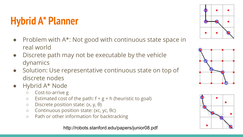# **Hybrid A\* Planner**

- Problem with A\*: Not good with continuous state space in real world
- Discrete path may not be executable by the vehicle dynamics
- Solution: Use representative continuous state on top of discrete nodes
- Hybrid A\* Node
	- Cost-to-arrive g
	- $\circ$  Estimated cost of the path:  $f = g + h$  (heuristic to goal)
	- $\circ$  Discrete position state: (x, y, θ)
	- Continuous position state: (xc, yc, θc)
	- Path or other information for backtracking

http://robots.stanford.edu/papers/junior08.pdf





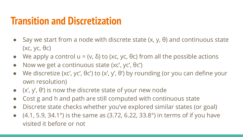## **Transition and Discretization**

- Say we start from a node with discrete state  $(x, y, \theta)$  and continuous state (xc, yc, θc)
- We apply a control  $u = (v, \delta)$  to (xc, yc, θc) from all the possible actions
- $\bullet$  Now we get a continuous state (xc', yc',  $\theta$ c')
- We discretize (xc', yc',  $\theta$ c') to (x', y',  $\theta$ ') by rounding (or you can define your own resolution)
- $(x', y', \theta')$  is now the discrete state of your new node
- Cost g and h and path are still computed with continuous state
- Discrete state checks whether you've explored similar states (or goal)
- $(4.1, 5.9, 34.1°)$  is the same as  $(3.72, 6.22, 33.8°)$  in terms of if you have visited it before or not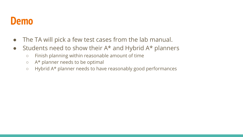#### **Demo**

- The TA will pick a few test cases from the lab manual.
- Students need to show their  $A^*$  and Hybrid  $A^*$  planners
	- Finish planning within reasonable amount of time
	- A\* planner needs to be optimal
	- Hybrid A\* planner needs to have reasonably good performances